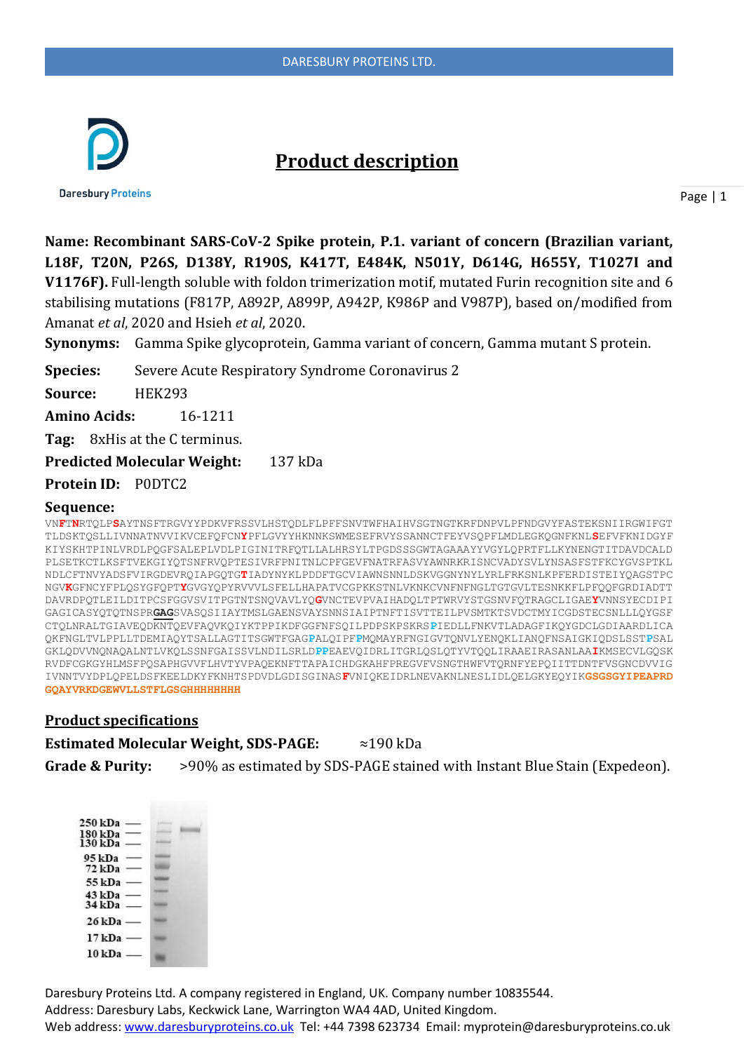

# **Product description**

**Daresbury Proteins** 

Page | 1

**Name: Recombinant SARS-CoV-2 Spike protein, P.1. variant of concern (Brazilian variant, L18F, T20N, P26S, D138Y, R190S, K417T, E484K, N501Y, D614G, H655Y, T1027I and V1176F).** Full-length soluble with foldon trimerization motif, mutated Furin recognition site and 6 stabilising mutations (F817P, A892P, A899P, A942P, K986P and V987P), based on/modified from Amanat *et al*, 2020 and Hsieh *et al*, 2020.

**Synonyms:** Gamma Spike glycoprotein, Gamma variant of concern, Gamma mutant S protein.

**Species:** Severe Acute Respiratory Syndrome Coronavirus 2

**Source:** HEK293

**Amino Acids:** 16-1211

**Tag:** 8xHis at the C terminus.

**Predicted Molecular Weight:** 137 kDa

**Protein ID:** P0DTC2

#### **Sequence:**

VN**F**T**N**RTQLP**S**AYTNSFTRGVYYPDKVFRSSVLHSTQDLFLPFFSNVTWFHAIHVSGTNGTKRFDNPVLPFNDGVYFASTEKSNIIRGWIFGT TLDSKTQSLLIVNNATNVVIKVCEFQFCN**Y**PFLGVYYHKNNKSWMESEFRVYSSANNCTFEYVSQPFLMDLEGKQGNFKNL**S**EFVFKNIDGYF KIYSKHTPINLVRDLPQGFSALEPLVDLPIGINITRFQTLLALHRSYLTPGDSSSGWTAGAAAYYVGYLQPRTFLLKYNENGTITDAVDCALD PLSETKCTLKSFTVEKGIYQTSNFRVQPTESIVRFPNITNLCPFGEVFNATRFASVYAWNRKRISNCVADYSVLYNSASFSTFKCYGVSPTKL NDLCFTNVYADSFVIRGDEVRQIAPGQTG**T**IADYNYKLPDDFTGCVIAWNSNNLDSKVGGNYNYLYRLFRKSNLKPFERDISTEIYQAGSTPC NGV**K**GFNCYFPLQSYGFQPT**Y**GVGYQPYRVVVLSFELLHAPATVCGPKKSTNLVKNKCVNFNFNGLTGTGVLTESNKKFLPFQQFGRDIADTT DAVRDPQTLEILDITPCSFGGVSVITPGTNTSNQVAVLYQ**G**VNCTEVPVAIHADQLTPTWRVYSTGSNVFQTRAGCLIGAE**Y**VNNSYECDIPI GAGICASYQTQTNSPR**GAG**SVASQSIIAYTMSLGAENSVAYSNNSIAIPTNFTISVTTEILPVSMTKTSVDCTMYICGDSTECSNLLLQYGSF CTQLNRALTGIAVEQDKNTQEVFAQVKQIYKTPPIKDFGGFNFSQILPDPSKPSKRS**P**IEDLLFNKVTLADAGFIKQYGDCLGDIAARDLICA QKFNGLTVLPPLLTDEMIAQYTSALLAGTITSGWTFGAG**P**ALQIPF**P**MQMAYRFNGIGVTQNVLYENQKLIANQFNSAIGKIQDSLSST**P**SAL GKLQDVVNQNAQALNTLVKQLSSNFGAISSVLNDILSRLD**PP**EAEVQIDRLITGRLQSLQTYVTQQLIRAAEIRASANLAA**I**KMSECVLGQSK RVDFCGKGYHLMSFPQSAPHGVVFLHVTYVPAQEKNFTTAPAICHDGKAHFPREGVFVSNGTHWFVTQRNFYEPQIITTDNTFVSGNCDVVIG IVNNTVYDPLQPELDSFKEELDKYFKNHTSPDVDLGDISGINAS**F**VNIQKEIDRLNEVAKNLNESLIDLQELGKYEQYIK**GSGSGYIPEAPRD GQAYVRKDGEWVLLSTFLGSGHHHHHHHH**

#### **Product specifications**

**Estimated Molecular Weight, SDS-PAGE:** ≈190 kDa **Grade & Purity:** >90% as estimated by SDS-PAGE stained with Instant Blue Stain (Expedeon).

| 250 kDa  |  |
|----------|--|
| 180 kDa  |  |
| 130 kDa  |  |
| 95 kDa   |  |
| 72 kDa   |  |
| 55 kDa   |  |
| 43 kDa   |  |
| $34$ kDa |  |
| $26$ kDa |  |
| 17 kDa - |  |
| 10 kDa   |  |
|          |  |

Daresbury Proteins Ltd. A company registered in England, UK. Company number 10835544. Address: Daresbury Labs, Keckwick Lane, Warrington WA4 4AD, United Kingdom. Web address[: www.daresburyproteins.co.uk](http://www.daresburyproteins.co.uk/) Tel: +44 7398 623734 Email: myprotein@daresburyproteins.co.uk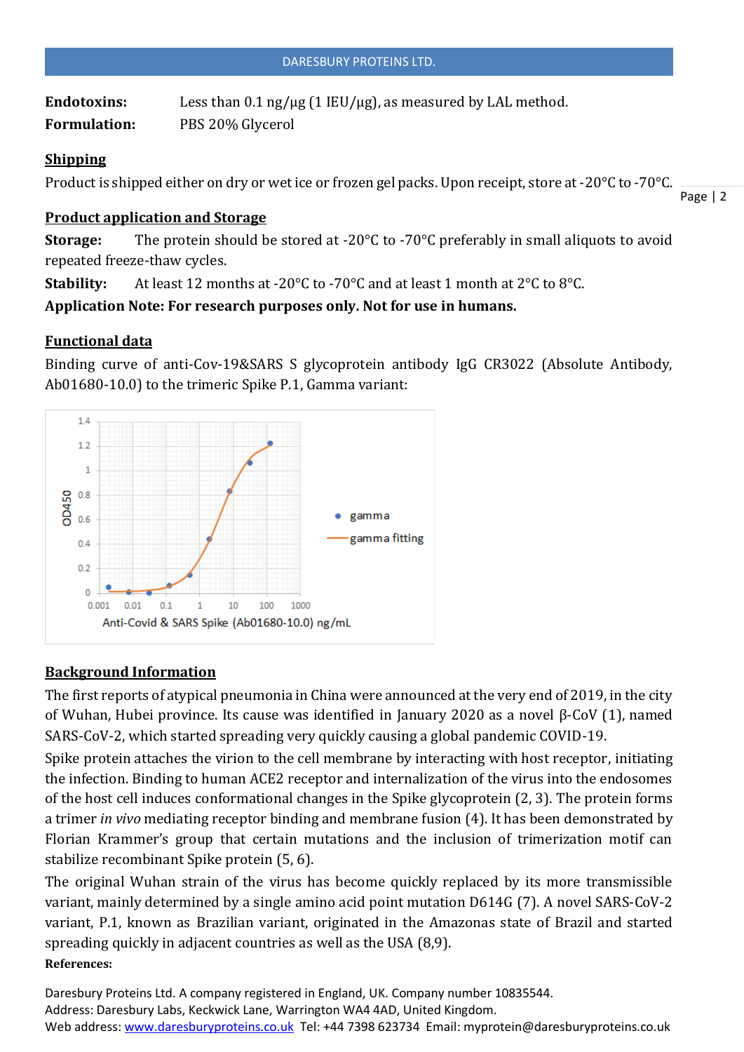Endotoxins: Less than 0.1 ng/µg (1 IEU/µg), as measured by LAL method. **Formulation:** PBS 20% Glycerol

#### **Shipping**

Product is shipped either on dry or wet ice or frozen gel packs. Upon receipt, store at -20°C to -70°C.

Page | 2

### **Product application and Storage**

**Storage:** The protein should be stored at -20°C to -70°C preferably in small aliquots to avoid repeated freeze-thaw cycles.

**Stability:** At least 12 months at -20°C to -70°C and at least 1 month at 2°C to 8°C.

**Application Note: For research purposes only. Not for use in humans.**

## **Functional data**

Binding curve of anti-Cov-19&SARS S glycoprotein antibody IgG CR3022 (Absolute Antibody, Ab01680-10.0) to the trimeric Spike P.1, Gamma variant:



# **Background Information**

The first reports of atypical pneumonia in China were announced at the very end of 2019, in the city of Wuhan, Hubei province. Its cause was identified in January 2020 as a novel β-CoV (1), named SARS-CoV-2, which started spreading very quickly causing a global pandemic COVID-19.

Spike protein attaches the virion to the cell membrane by interacting with host receptor, initiating the infection. Binding to human ACE2 receptor and internalization of the virus into the endosomes of the host cell induces conformational changes in the Spike glycoprotein (2, 3). The protein forms a trimer *in vivo* mediating receptor binding and membrane fusion (4). It has been demonstrated by Florian Krammer's group that certain mutations and the inclusion of trimerization motif can stabilize recombinant Spike protein (5, 6).

The original Wuhan strain of the virus has become quickly replaced by its more transmissible variant, mainly determined by a single amino acid point mutation D614G (7). A novel SARS-CoV-2 variant, P.1, known as Brazilian variant, originated in the Amazonas state of Brazil and started spreading quickly in adjacent countries as well as the USA (8,9). **References:**

Daresbury Proteins Ltd. A company registered in England, UK. Company number 10835544. Address: Daresbury Labs, Keckwick Lane, Warrington WA4 4AD, United Kingdom. Web address[: www.daresburyproteins.co.uk](http://www.daresburyproteins.co.uk/) Tel: +44 7398 623734 Email: myprotein@daresburyproteins.co.uk